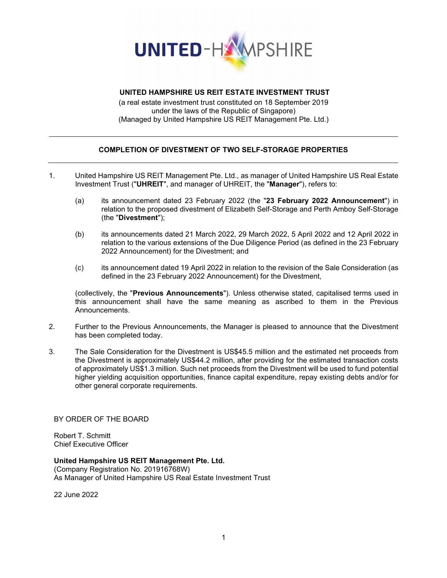

## **UNITED HAMPSHIRE US REIT ESTATE INVESTMENT TRUST**

(a real estate investment trust constituted on 18 September 2019 under the laws of the Republic of Singapore) (Managed by United Hampshire US REIT Management Pte. Ltd.)

## **COMPLETION OF DIVESTMENT OF TWO SELF-STORAGE PROPERTIES**

- 1. United Hampshire US REIT Management Pte. Ltd., as manager of United Hampshire US Real Estate Investment Trust ("**UHREIT**", and manager of UHREIT, the "**Manager**"), refers to:
	- (a) its announcement dated 23 February 2022 (the "**23 February 2022 Announcement**") in relation to the proposed divestment of Elizabeth Self-Storage and Perth Amboy Self-Storage (the "**Divestment**");
	- (b) its announcements dated 21 March 2022, 29 March 2022, 5 April 2022 and 12 April 2022 in relation to the various extensions of the Due Diligence Period (as defined in the 23 February 2022 Announcement) for the Divestment; and
	- (c) its announcement dated 19 April 2022 in relation to the revision of the Sale Consideration (as defined in the 23 February 2022 Announcement) for the Divestment,

(collectively, the "**Previous Announcements**"). Unless otherwise stated, capitalised terms used in this announcement shall have the same meaning as ascribed to them in the Previous Announcements.

- 2. Further to the Previous Announcements, the Manager is pleased to announce that the Divestment has been completed today.
- 3. The Sale Consideration for the Divestment is US\$45.5 million and the estimated net proceeds from the Divestment is approximately US\$44.2 million, after providing for the estimated transaction costs of approximately US\$1.3 million. Such net proceeds from the Divestment will be used to fund potential higher yielding acquisition opportunities, finance capital expenditure, repay existing debts and/or for other general corporate requirements.

BY ORDER OF THE BOARD

Robert T. Schmitt Chief Executive Officer

**United Hampshire US REIT Management Pte. Ltd.** (Company Registration No. 201916768W)

As Manager of United Hampshire US Real Estate Investment Trust

22 June 2022